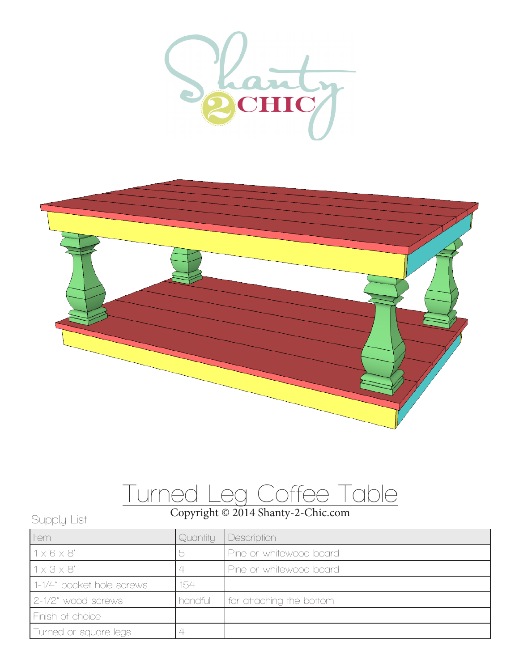



## Turned Leg Coffee Table

## Copyright © 2014 Shanty-2-Chic.com Supply List

| <b>I</b> tem              | Quantity | Description              |
|---------------------------|----------|--------------------------|
| $1 \times 6 \times 8'$    |          | Pine or whitewood board  |
| $1 \times 3 \times 8'$    |          | Pine or whitewood board  |
| 1-1/4" pocket hole screws | 154      |                          |
| 2-1/2" wood screws        | handful  | for attaching the bottom |
| Finish of choice          |          |                          |
| Turned or square legs     |          |                          |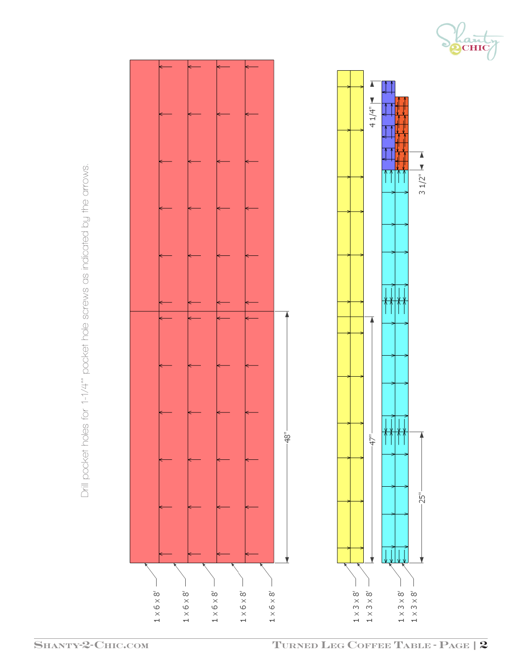Drill pocket holes for 1-1/4" pocket hole screws as indicated by the arrows. Drill pocket holes for 1-1/4"" pocket hole screws as indicated by the arrows.



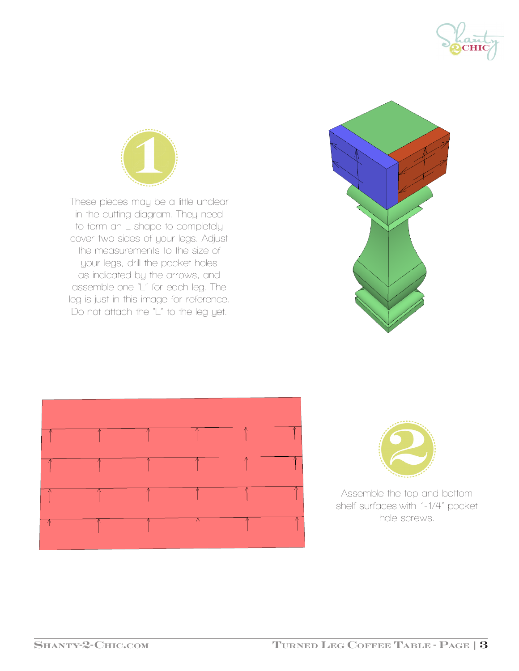



These pieces may be a little unclear in the cutting diagram. They need to form an L shape to completely cover two sides of your legs. Adjust the measurements to the size of your legs, drill the pocket holes as indicated by the arrows, and assemble one "L" for each leg. The leg is just in this image for reference. Do not attach the "L" to the leg yet.







Assemble the top and bottom shelf surfaces.with 1-1/4" pocket hole screws.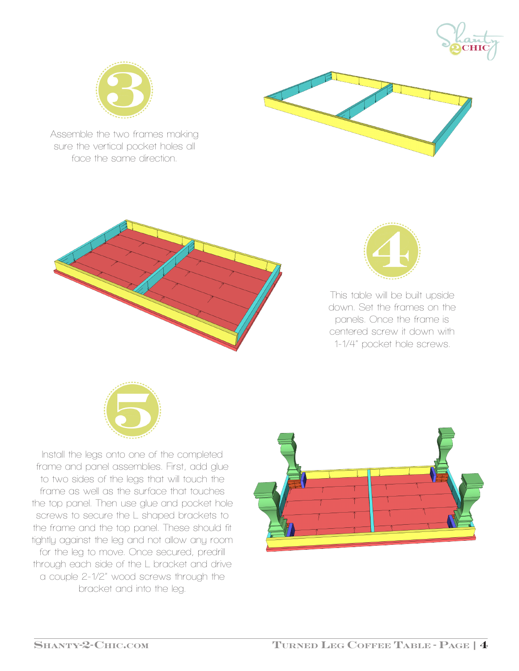



Assemble the two frames making sure the vertical pocket holes all face the same direction.







This table will be built upside down. Set the frames on the panels. Once the frame is centered screw it down with 1-1/4" pocket hole screws.



Install the legs onto one of the completed frame and panel assemblies. First, add glue to two sides of the legs that will touch the frame as well as the surface that touches the top panel. Then use glue and pocket hole screws to secure the L shaped brackets to the frame and the top panel. These should fit tightly against the leg and not allow any room for the leg to move. Once secured, predrill through each side of the L bracket and drive a couple 2-1/2" wood screws through the bracket and into the leg.